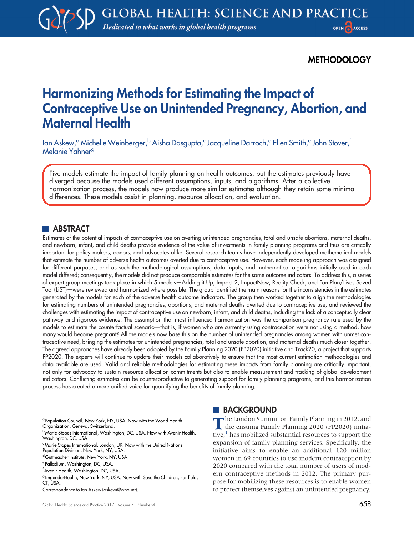## **METHODOLOGY**

# Harmonizing Methods for Estimating the Impact of Contraceptive Use on Unintended Pregnancy, Abortion, and Maternal Health

Ian Askew,<sup>a</sup> Michelle Weinberger,<sup>b</sup> Aisha Dasgupta,<sup>c</sup> Jacqueline Darroch,<sup>d</sup> Ellen Smith,<sup>e</sup> John Stover,<sup>f</sup> Melanie Yahner<sup>g</sup>

Five models estimate the impact of family planning on health outcomes, but the estimates previously have diverged because the models used different assumptions, inputs, and algorithms. After a collective harmonization process, the models now produce more similar estimates although they retain some minimal differences. These models assist in planning, resource allocation, and evaluation.

## **ABSTRACT**

Estimates of the potential impacts of contraceptive use on averting unintended pregnancies, total and unsafe abortions, maternal deaths, and newborn, infant, and child deaths provide evidence of the value of investments in family planning programs and thus are critically important for policy makers, donors, and advocates alike. Several research teams have independently developed mathematical models that estimate the number of adverse health outcomes averted due to contraceptive use. However, each modeling approach was designed for different purposes, and as such the methodological assumptions, data inputs, and mathematical algorithms initially used in each model differed; consequently, the models did not produce comparable estimates for the same outcome indicators. To address this, a series of expert group meetings took place in which 5 models—Adding it Up, Impact 2, ImpactNow, Reality Check, and FamPlan/Lives Saved Tool (LiST)—were reviewed and harmonized where possible. The group identified the main reasons for the inconsistencies in the estimates generated by the models for each of the adverse health outcome indicators. The group then worked together to align the methodologies for estimating numbers of unintended pregnancies, abortions, and maternal deaths averted due to contraceptive use, and reviewed the challenges with estimating the impact of contraceptive use on newborn, infant, and child deaths, including the lack of a conceptually clear pathway and rigorous evidence. The assumption that most influenced harmonization was the comparison pregnancy rate used by the models to estimate the counterfactual scenario—that is, if women who are currently using contraception were not using a method, how many would become pregnant? All the models now base this on the number of unintended pregnancies among women with unmet contraceptive need, bringing the estimates for unintended pregnancies, total and unsafe abortion, and maternal deaths much closer together. The agreed approaches have already been adopted by the Family Planning 2020 (FP2020) initiative and Track20, a project that supports FP2020. The experts will continue to update their models collaboratively to ensure that the most current estimation methodologies and data available are used. Valid and reliable methodologies for estimating these impacts from family planning are critically important, not only for advocacy to sustain resource allocation commitments but also to enable measurement and tracking of global development indicators. Conflicting estimates can be counterproductive to generating support for family planning programs, and this harmonization process has created a more unified voice for quantifying the benefits of family planning.

- <sup>a</sup> Population Council, New York, NY, USA. Now with the World Health Organization, Geneva, Switzerland.
- **b** Marie Stopes International, Washington, DC, USA. Now with Avenir Health, Washington, DC, USA.
- <sup>c</sup> Marie Stopes International, London, UK. Now with the United Nations

- d Guttmacher Institute, New York, NY, USA.
- <sup>e</sup> Palladium, Washington, DC, USA.
- f Avenir Health, Washington, DC, USA.
- <sup>g</sup> EngenderHealth, New York, NY, USA. Now with Save the Children, Fairfield, CT, USA.

### **BACKGROUND**

The London Summit on Family Planning in 2012, and<br>the ensuing Family Planning 2020 (FP2020) initiative, $<sup>1</sup>$  $<sup>1</sup>$  $<sup>1</sup>$  has mobilized substantial resources to support the</sup> expansion of family planning services. Specifically, the initiative aims to enable an additional 120 million women in 69 countries to use modern contraception by 2020 compared with the total number of users of modern contraceptive methods in 2012. The primary purpose for mobilizing these resources is to enable women to protect themselves against an unintended pregnancy,

Population Division, New York, NY, USA.

Correspondence to Ian Askew [\(askewi@who.int\)](mailto:askewi@who.int).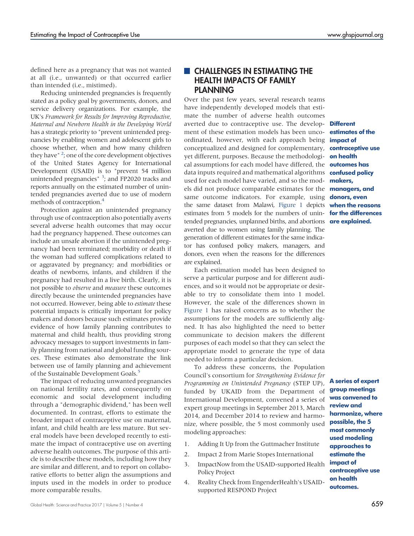defined here as a pregnancy that was not wanted at all (i.e., unwanted) or that occurred earlier than intended (i.e., mistimed).

Reducing unintended pregnancies is frequently stated as a policy goal by governments, donors, and service delivery organizations. For example, the UK's Framework for Results for Improving Reproductive, Maternal and Newborn Health in the Developing World has a strategic priority to "prevent unintended pregnancies by enabling women and adolescent girls to choose whether, when and how many children they have"<sup>[2](#page-8-1)</sup>; one of the core development objectives of the United States Agency for International Development (USAID) is to "prevent 54 million unintended pregnancies" <sup>[3](#page-8-2)</sup>; and FP2020 tracks and reports annually on the estimated number of unintended pregnancies averted due to use of modern methods of contraception.<sup>4</sup>

Protection against an unintended pregnancy through use of contraception also potentially averts several adverse health outcomes that may occur had the pregnancy happened. These outcomes can include an unsafe abortion if the unintended pregnancy had been terminated; morbidity or death if the woman had suffered complications related to or aggravated by pregnancy; and morbidities or deaths of newborns, infants, and children if the pregnancy had resulted in a live birth. Clearly, it is not possible to observe and measure these outcomes directly because the unintended pregnancies have not occurred. However, being able to estimate these potential impacts is critically important for policy makers and donors because such estimates provide evidence of how family planning contributes to maternal and child health, thus providing strong advocacy messages to support investments in family planning from national and global funding sources. These estimates also demonstrate the link between use of family planning and achievement of the Sustainable Development Goals.<sup>[5](#page-8-4)</sup>

The impact of reducing unwanted pregnancies on national fertility rates, and consequently on economic and social development including through a "demographic dividend," has been well documented. In contrast, efforts to estimate the broader impact of contraceptive use on maternal, infant, and child health are less mature. But several models have been developed recently to estimate the impact of contraceptive use on averting adverse health outcomes. The purpose of this article is to describe these models, including how they are similar and different, and to report on collaborative efforts to better align the assumptions and inputs used in the models in order to produce more comparable results.

## **EX CHALLENGES IN ESTIMATING THE** HEALTH IMPACTS OF FAMILY PLANNING

Over the past few years, several research teams have independently developed models that estimate the number of adverse health outcomes averted due to contraceptive use. The develop- **Different** ment of these estimation models has been unco- estimates of the ordinated, however, with each approach being **impact of** conceptualized and designed for complementary, contraceptive use yet different, purposes. Because the methodologi- on health cal assumptions for each model have differed, the **outcomes has** data inputs required and mathematical algorithms **confused policy** used for each model have varied, and so the mod- **makers,** els did not produce comparable estimates for the **managers, and** same outcome indicators. For example, using **donors, even** the same dataset from Malawi, [Figure 1](#page-2-0) depicts **when the reasons** estimates from 5 models for the numbers of unin- for the differences tended pregnancies, unplanned births, and abortions **are explained.** averted due to women using family planning. The generation of different estimates for the same indicator has confused policy makers, managers, and donors, even when the reasons for the differences are explained.

Each estimation model has been designed to serve a particular purpose and for different audiences, and so it would not be appropriate or desirable to try to consolidate them into 1 model. However, the scale of the differences shown in [Figure 1](#page-2-0) has raised concerns as to whether the assumptions for the models are sufficiently aligned. It has also highlighted the need to better communicate to decision makers the different purposes of each model so that they can select the appropriate model to generate the type of data needed to inform a particular decision.

To address these concerns, the Population Council's consortium for Strengthening Evidence for Programming on Unintended Pregnancy (STEP UP), funded by UKAID from the Department of International Development, convened a series of expert group meetings in September 2013, March 2014, and December 2014 to review and harmonize, where possible, the 5 most commonly used modeling approaches:

- 1. Adding It Up from the Guttmacher Institute
- 2. Impact 2 from Marie Stopes International
- 3. ImpactNow from the USAID-supported Health Policy Project
- 4. Reality Check from EngenderHealth's USAIDsupported RESPOND Project

A series of expert group meetings was convened to review and harmonize, where possible, the 5 most commonly used modeling approaches to estimate the impact of contraceptive use on health outcomes.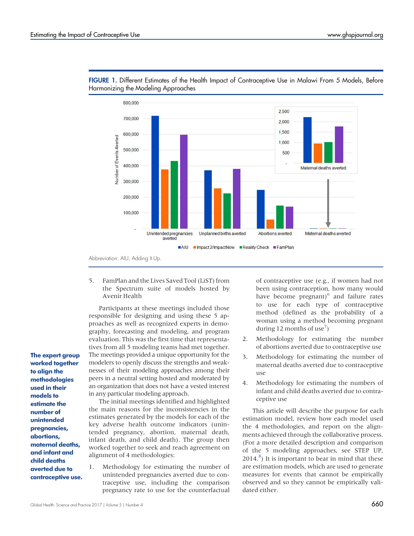

<span id="page-2-0"></span>FIGURE 1. Different Estimates of the Health Impact of Contraceptive Use in Malawi From 5 Models, Before Harmonizing the Modeling Approaches

5. FamPlan and the Lives Saved Tool (LiST) from the Spectrum suite of models hosted by

Avenir Health

Participants at these meetings included those responsible for designing and using these 5 approaches as well as recognized experts in demography, forecasting and modeling, and program evaluation. This was the first time that representatives from all 5 modeling teams had met together. The meetings provided a unique opportunity for the modelers to openly discuss the strengths and weaknesses of their modeling approaches among their peers in a neutral setting hosted and moderated by an organization that does not have a vested interest in any particular modeling approach.

The initial meetings identified and highlighted the main reasons for the inconsistencies in the estimates generated by the models for each of the key adverse health outcome indicators (unintended pregnancy, abortion, maternal death, infant death, and child death). The group then worked together to seek and reach agreement on alignment of 4 methodologies:

1. Methodology for estimating the number of unintended pregnancies averted due to contraceptive use, including the comparison pregnancy rate to use for the counterfactual of contraceptive use (e.g., if women had not been using contraception, how many would have become pregnant) $6$  and failure rates to use for each type of contraceptive method (defined as the probability of a woman using a method becoming pregnant during 12 months of use<sup>[7](#page-8-6)</sup>)

- 2. Methodology for estimating the number of abortions averted due to contraceptive use
- 3. Methodology for estimating the number of maternal deaths averted due to contraceptive use
- 4. Methodology for estimating the numbers of infant and child deaths averted due to contraceptive use

This article will describe the purpose for each estimation model, review how each model used the 4 methodologies, and report on the alignments achieved through the collaborative process. (For a more detailed description and comparison of the 5 modeling approaches, see STEP UP,  $2014<sup>8</sup>$ ) It is important to bear in mind that these are estimation models, which are used to generate measures for events that cannot be empirically observed and so they cannot be empirically validated either.

The expert group worked together to align the methodologies used in their models to estimate the number of unintended pregnancies, abortions, maternal deaths, and infant and child deaths averted due to contraceptive use.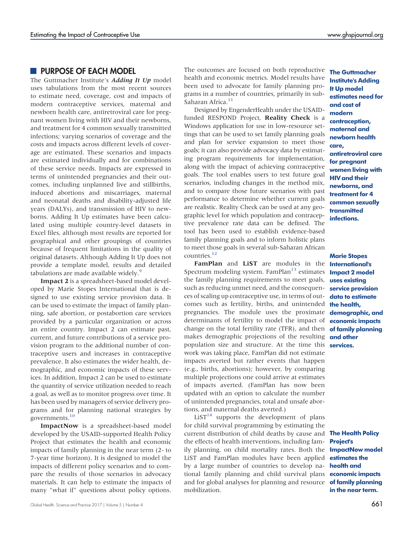## **PURPOSE OF EACH MODEL**

The Guttmacher Institute's *Adding It Up* model uses tabulations from the most recent sources to estimate need, coverage, cost and impacts of modern contraceptive services, maternal and newborn health care, antiretroviral care for pregnant women living with HIV and their newborns, and treatment for 4 common sexually transmitted infections; varying scenarios of coverage and the costs and impacts across different levels of coverage are estimated. These scenarios and impacts are estimated individually and for combinations of these service needs. Impacts are expressed in terms of unintended pregnancies and their outcomes, including unplanned live and stillbirths, induced abortions and miscarriages, maternal and neonatal deaths and disability-adjusted life years (DALYs), and transmission of HIV to newborns. Adding It Up estimates have been calculated using multiple country-level datasets in Excel files, although most results are reported for geographical and other groupings of countries because of frequent limitations in the quality of original datasets. Although Adding It Up does not provide a template model, results and detailed tabulations are made available widely.<sup>[9](#page-8-8)</sup>

Impact 2 is a spreadsheet-based model developed by Marie Stopes International that is designed to use existing service provision data. It can be used to estimate the impact of family planning, safe abortion, or postabortion care services provided by a particular organization or across an entire country. Impact 2 can estimate past, current, and future contributions of a service provision program to the additional number of contraceptive users and increases in contraceptive prevalence. It also estimates the wider health, demographic, and economic impacts of these services. In addition, Impact 2 can be used to estimate the quantity of service utilization needed to reach a goal, as well as to monitor progress over time. It has been used by managers of service delivery programs and for planning national strategies by governments.[10](#page-8-9)

ImpactNow is a spreadsheet-based model developed by the USAID-supported Health Policy Project that estimates the health and economic impacts of family planning in the near term (2- to 7-year time horizon). It is designed to model the impacts of different policy scenarios and to compare the results of those scenarios in advocacy materials. It can help to estimate the impacts of many "what if" questions about policy options.

The outcomes are focused on both reproductive health and economic metrics. Model results have been used to advocate for family planning programs in a number of countries, primarily in sub-Saharan Africa.<sup>11</sup>

Designed by EngenderHealth under the USAIDfunded RESPOND Project, Reality Check is a Windows application for use in low-resource settings that can be used to set family planning goals and plan for service expansion to meet those goals; it can also provide advocacy data by estimating program requirements for implementation, along with the impact of achieving contraceptive goals. The tool enables users to test future goal scenarios, including changes in the method mix, and to compare those future scenarios with past performance to determine whether current goals are realistic. Reality Check can be used at any geographic level for which population and contraceptive prevalence rate data can be defined. The tool has been used to establish evidence-based family planning goals and to inform holistic plans to meet those goals in several sub-Saharan African countries[.12](#page-8-11)

FamPlan and LiST are modules in the Spectrum modeling system. FamPlan $13$  estimates the family planning requirements to meet goals, such as reducing unmet need, and the consequences of scaling up contraceptive use, in terms of outcomes such as fertility, births, and unintended **the health,** pregnancies. The module uses the proximate determinants of fertility to model the impact of change on the total fertility rate (TFR), and then makes demographic projections of the resulting **and other** population size and structure. At the time this **services.** work was taking place, FamPlan did not estimate impacts averted but rather events that happen (e.g., births, abortions); however, by comparing multiple projections one could arrive at estimates of impacts averted. (FamPlan has now been updated with an option to calculate the number of unintended pregnancies, total and unsafe abortions, and maternal deaths averted.)

 $LiST<sup>14</sup>$  $LiST<sup>14</sup>$  $LiST<sup>14</sup>$  supports the development of plans for child survival programming by estimating the current distribution of child deaths by cause and **The Health Policy** the effects of health interventions, including family planning, on child mortality rates. Both the LiST and FamPlan modules have been applied by a large number of countries to develop na- health|and tional family planning and child survival plans **economicimpacts** and for global analyses for planning and resource **of family planning** mobilization.

**The Guttmacher** Institute's Adding It Up model estimates need for and cost of modern contraception, maternal and newborn health care, antiretroviral care for pregnant women living with HIV and their newborns, and treatment for 4 common sexually transmitted infections.

Marie Stopes International's Impact 2 model uses existing service provision data to estimate demographic, and economic impacts of family planning

Project's ImpactNow model estimates the in the near term.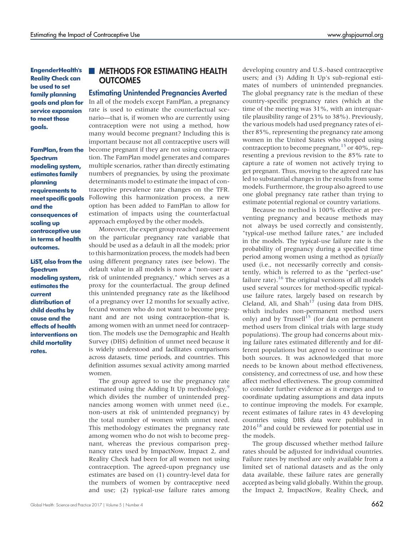EngenderHealth's Reality Check can be used to set family planning goals and plan for service expansion to meet those goals.

FamPlan, from the Spectrum modeling system, estimates family planning requirements to meet specific goals and the consequences of scaling up contraceptive use in terms of health outcomes.

LiST, also from the Spectrum modeling system, estimates the current distribution of child deaths by cause and the effects of health interventions on child mortality rates.

## **METHODS FOR ESTIMATING HEALTH OUTCOMES**

#### Estimating Unintended Pregnancies Averted

In all of the models except FamPlan, a pregnancy rate is used to estimate the counterfactual scenario—that is, if women who are currently using contraception were not using a method, how many would become pregnant? Including this is important because not all contraceptive users will become pregnant if they are not using contraception. The FamPlan model generates and compares multiple scenarios, rather than directly estimating numbers of pregnancies, by using the proximate determinants model to estimate the impact of contraceptive prevalence rate changes on the TFR. Following this harmonization process, a new option has been added to FamPlan to allow for estimation of impacts using the counterfactual approach employed by the other models.

Moreover, the expert group reached agreement on the particular pregnancy rate variable that should be used as a default in all the models; prior to this harmonization process, the models had been using different pregnancy rates (see below). The default value in all models is now a "non-user at risk of unintended pregnancy," which serves as a proxy for the counterfactual. The group defined this unintended pregnancy rate as the likelihood of a pregnancy over 12 months for sexually active, fecund women who do not want to become pregnant and are not using contraception–that is, among women with an unmet need for contraception. The models use the Demographic and Health Survey (DHS) definition of unmet need because it is widely understood and facilitates comparisons across datasets, time periods, and countries. This definition assumes sexual activity among married women.

The group agreed to use the pregnancy rate estimated using the Adding It Up methodology,<sup>[9](#page-8-8)</sup> which divides the number of unintended pregnancies among women with unmet need (i.e., non-users at risk of unintended pregnancy) by the total number of women with unmet need. This methodology estimates the pregnancy rate among women who do not wish to become pregnant, whereas the previous comparison pregnancy rates used by ImpactNow, Impact 2, and Reality Check had been for all women not using contraception. The agreed-upon pregnancy use estimates are based on (1) country-level data for the numbers of women by contraceptive need and use; (2) typical-use failure rates among

developing country and U.S.-based contraceptive users; and (3) Adding It Up's sub-regional estimates of numbers of unintended pregnancies. The global pregnancy rate is the median of these country-specific pregnancy rates (which at the time of the meeting was 31%, with an interquartile plausibility range of 23% to 38%). Previously, the various models had used pregnancy rates of either 85%, representing the pregnancy rate among women in the United States who stopped using contraception to become pregnant,  $15$  or 40%, representing a previous revision to the 85% rate to capture a rate of women not actively trying to get pregnant. Thus, moving to the agreed rate has led to substantial changes in the results from some models. Furthermore, the group also agreed to use one global pregnancy rate rather than trying to estimate potential regional or country variations.

Because no method is 100% effective at preventing pregnancy and because methods may not always be used correctly and consistently, "typical-use method failure rates," are included in the models. The typical-use failure rate is the probability of pregnancy during a specified time period among women using a method as typically used (i.e., not necessarily correctly and consistently, which is referred to as the "perfect-use" failure rate).<sup>16</sup> The original versions of all models used several sources for method-specific typicaluse failure rates, largely based on research by Cleland, Ali, and Shah<sup>17</sup> (using data from DHS, which includes non-permanent method users only) and by Trussell<sup>[15](#page-9-1)</sup> (for data on permanent method users from clinical trials with large study populations). The group had concerns about mixing failure rates estimated differently and for different populations but agreed to continue to use both sources. It was acknowledged that more needs to be known about method effectiveness, consistency, and correctness of use, and how these affect method effectiveness. The group committed to consider further evidence as it emerges and to coordinate updating assumptions and data inputs to continue improving the models. For example, recent estimates of failure rates in 43 developing countries using DHS data were published in  $2016^{18}$  and could be reviewed for potential use in the models.

The group discussed whether method failure rates should be adjusted for individual countries. Failure rates by method are only available from a limited set of national datasets and as the only data available, these failure rates are generally accepted as being valid globally. Within the group, the Impact 2, ImpactNow, Reality Check, and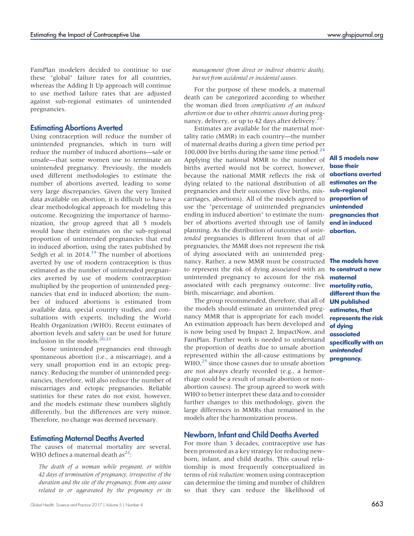FamPlan modelers decided to continue to use these "global" failure rates for all countries, whereas the Adding It Up approach will continue to use method failure rates that are adjusted against sub-regional estimates of unintended pregnancies.

#### Estimating Abortions Averted

Using contraception will reduce the number of unintended pregnancies, which in turn will reduce the number of induced abortions—safe or unsafe—that some women use to terminate an unintended pregnancy. Previously, the models used different methodologies to estimate the number of abortions averted, leading to some very large discrepancies. Given the very limited data available on abortion, it is difficult to have a clear methodological approach for modeling this outcome. Recognizing the importance of harmonization, the group agreed that all 5 models would base their estimates on the sub-regional proportion of unintended pregnancies that end in induced abortion, using the rates published by Sedgh et al. in  $2014$ .<sup>[19](#page-9-5)</sup> The number of abortions averted by use of modern contraception is thus estimated as the number of unintended pregnancies averted by use of modern contraception multiplied by the proportion of unintended pregnancies that end in induced abortion; the number of induced abortions is estimated from available data, special country studies, and consultations with experts, including the World Health Organization (WHO). Recent estimates of abortion levels and safety can be used for future inclusion in the models. $^{20,21}$  $^{20,21}$  $^{20,21}$ 

Some unintended pregnancies end through spontaneous abortion (i.e., a miscarriage), and a very small proportion end in an ectopic pregnancy. Reducing the number of unintended pregnancies, therefore, will also reduce the number of miscarriages and ectopic pregnancies. Reliable statistics for these rates do not exist, however, and the models estimate these numbers slightly differently, but the differences are very minor. Therefore, no change was deemed necessary.

#### Estimating Maternal Deaths Averted

The causes of maternal mortality are several. WHO defines a maternal death  $as^{22}$  $as^{22}$  $as^{22}$ :

The death of a woman while pregnant, or within 42 days of termination of pregnancy, irrespective of the duration and the site of the pregnancy, from any cause related to or aggravated by the pregnancy or its

management (from direct or indirect obstetric death), but not from accidental or incidental causes.

For the purpose of these models, a maternal death can be categorized according to whether the woman died from complications of an induced abortion or due to other obstetric causes during pregnancy, delivery, or up to 42 days after delivery.<sup>2</sup>

Estimates are available for the maternal mortality ratio (MMR) in each country—the number of maternal deaths during a given time period per 100,000 live births during the same time period. $24$ Applying the national MMR to the number of births averted would not be correct, however, because the national MMR reflects the risk of dying related to the national distribution of all pregnancies and their outcomes (live births, miscarriages, abortions). All of the models agreed to use the "percentage of unintended pregnancies ending in induced abortion" to estimate the number of abortions averted through use of family end in induced planning. As the distribution of outcomes of unintended pregnancies is different from that of all pregnancies, the MMR does not represent the risk of dying associated with an unintended pregnancy. Rather, a new MMR must be constructed **The models have** to represent the risk of dying associated with an **to construct a new** unintended pregnancy to account for the risk **maternal** associated with each pregnancy outcome: live birth, miscarriage, and abortion.

The group recommended, therefore, that all of the models should estimate an unintended pregnancy MMR that is appropriate for each model. An estimation approach has been developed and is now being used by Impact 2, ImpactNow, and FamPlan. Further work is needed to understand the proportion of deaths due to unsafe abortion represented within the all-cause estimations by  $WHO<sup>25</sup>$  $WHO<sup>25</sup>$  $WHO<sup>25</sup>$  since those causes due to unsafe abortion are not always clearly recorded (e.g., a hemorrhage could be a result of unsafe abortion or nonabortion causes). The group agreed to work with WHO to better interpret these data and to consider further changes to this methodology, given the large differences in MMRs that remained in the models after the harmonization process.

## Newborn, Infant and Child Deaths Averted

For more than 3 decades, contraceptive use has been promoted as a key strategy for reducing newborn, infant, and child deaths. This causal relationship is most frequently conceptualized in terms of risk reduction: women using contraception can determine the timing and number of children so that they can reduce the likelihood of

All 5 models now base their abortions averted estimates on the sub-regional proportion of unintended pregnancies that abortion.

mortality ratio, different than the UN published estimates, that represents the risk of dying associated specifically with an unintended pregnancy.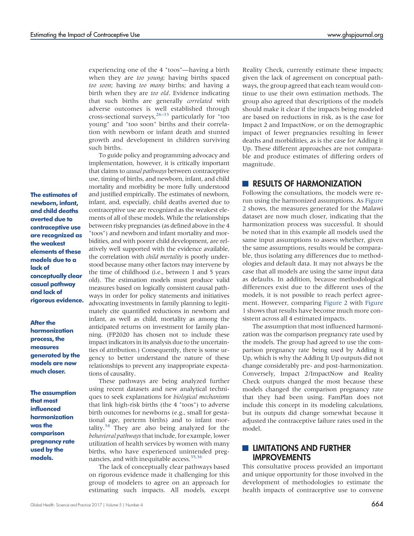experiencing one of the 4 "toos"—having a birth when they are too young; having births spaced too soon; having too many births; and having a birth when they are too old. Evidence indicating that such births are generally correlated with adverse outcomes is well established through cross-sectional surveys,  $26-33$  $26-33$  $26-33$  particularly for "too young" and "too soon" births and their correlation with newborn or infant death and stunted growth and development in children surviving such births.

The estimates of newborn, infant, and child deaths averted due to contraceptive use are recognized as the weakest elements of these models due to a lack of conceptually clear casual pathway and lack of rigorous evidence.

After the harmonization process, the measures generated by the models are now much closer.

The assumption that most influenced harmonization was the comparison pregnancy rate used by the models.

To guide policy and programming advocacy and implementation, however, it is critically important that claims to causal pathways between contraceptive use, timing of births, and newborn, infant, and child mortality and morbidity be more fully understood and justified empirically. The estimates of newborn, infant, and, especially, child deaths averted due to contraceptive use are recognized as the weakest elements of all of these models. While the relationships between risky pregnancies (as defined above in the 4 "toos") and newborn and infant mortality and morbidities, and with poorer child development, are relatively well supported with the evidence available, the correlation with child mortality is poorly understood because many other factors may intervene by the time of childhood (i.e., between 1 and 5 years old). The estimation models must produce valid measures based on logically consistent causal pathways in order for policy statements and initiatives advocating investments in family planning to legitimately cite quantified reductions in newborn and infant, as well as child, mortality as among the anticipated returns on investment for family planning. (FP2020 has chosen not to include these impact indicators in its analysis due to the uncertainties of attribution.) Consequently, there is some urgency to better understand the nature of these relationships to prevent any inappropriate expectations of causality.

These pathways are being analyzed further using recent datasets and new analytical techniques to seek explanations for biological mechanisms that link high-risk births (the 4 "toos") to adverse birth outcomes for newborns (e.g., small for gestational age, preterm births) and to infant mortality. $34$  They are also being analyzed for the behavioral pathways that include, for example, lower utilization of health services by women with many births, who have experienced unintended preg-nancies, and with inequitable access.<sup>[35](#page-9-15)[,36](#page-9-16)</sup>

The lack of conceptually clear pathways based on rigorous evidence made it challenging for this group of modelers to agree on an approach for estimating such impacts. All models, except

Reality Check, currently estimate these impacts; given the lack of agreement on conceptual pathways, the group agreed that each team would continue to use their own estimation methods. The group also agreed that descriptions of the models should make it clear if the impacts being modeled are based on reductions in risk, as is the case for Impact 2 and ImpactNow, or on the demographic impact of fewer pregnancies resulting in fewer deaths and morbidities, as is the case for Adding it Up. These different approaches are not comparable and produce estimates of differing orders of magnitude.

#### **RESULTS OF HARMONIZATION**

Following the consultations, the models were rerun using the harmonized assumptions. As [Figure](#page-7-0) [2](#page-7-0) shows, the measures generated for the Malawi dataset are now much closer, indicating that the harmonization process was successful. It should be noted that in this example all models used the same input assumptions to assess whether, given the same assumptions, results would be comparable, thus isolating any differences due to methodologies and default data. It may not always be the case that all models are using the same input data as defaults. In addition, because methodological differences exist due to the different uses of the models, it is not possible to reach perfect agreement. However, comparing [Figure 2](#page-7-0) with [Figure](#page-2-0) [1](#page-2-0) shows that results have become much more consistent across all 4 estimated impacts.

The assumption that most influenced harmonization was the comparison pregnancy rate used by the models. The group had agreed to use the comparison pregnancy rate being used by Adding it Up, which is why the Adding It Up outputs did not change considerably pre- and post-harmonization. Conversely, Impact 2/ImpactNow and Reality Check outputs changed the most because these models changed the comparison pregnancy rate that they had been using. FamPlan does not include this concept in its modeling calculations, but its outputs did change somewhat because it adjusted the contraceptive failure rates used in the model.

## **LIMITATIONS AND FURTHER** IMPROVEMENTS

This consultative process provided an important and unique opportunity for those involved in the development of methodologies to estimate the health impacts of contraceptive use to convene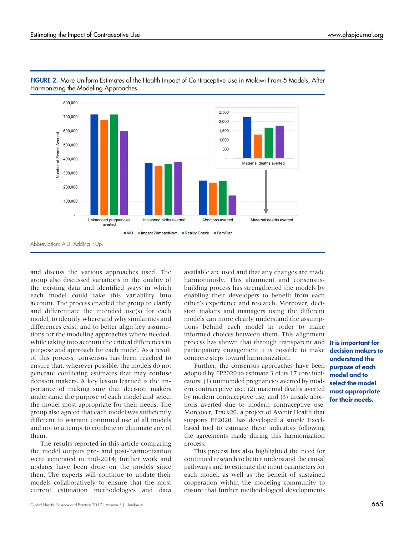

<span id="page-7-0"></span>FIGURE 2. More Uniform Estimates of the Health Impact of Contraceptive Use in Malawi From 5 Models, After Harmonizing the Modeling Approaches

and discuss the various approaches used. The group also discussed variations in the quality of the existing data and identified ways in which each model could take this variability into account. The process enabled the group to clarify and differentiate the intended use(s) for each model, to identify where and why similarities and differences exist, and to better align key assumptions for the modeling approaches where needed, while taking into account the critical differences in purpose and approach for each model. As a result of this process, consensus has been reached to ensure that, wherever possible, the models do not generate conflicting estimates that may confuse decision makers. A key lesson learned is the importance of making sure that decision makers understand the purpose of each model and select the model most appropriate for their needs. The group also agreed that each model was sufficiently different to warrant continued use of all models and not to attempt to combine or eliminate any of them.

The results reported in this article comparing the model outputs pre- and post-harmonization were generated in mid-2014; further work and updates have been done on the models since then. The experts will continue to update their models collaboratively to ensure that the most current estimation methodologies and data

available are used and that any changes are made harmoniously. This alignment and consensusbuilding process has strengthened the models by enabling their developers to benefit from each other's experience and research. Moreover, decision makers and managers using the different models can more clearly understand the assumptions behind each model in order to make informed choices between them. This alignment process has shown that through transparent and participatory engagement it is possible to make concrete steps toward harmonization.

Further, the consensus approaches have been **purpose of each** adopted by FP2020 to estimate 3 of its 17 core indicators: (1) unintended pregnancies averted by modern contraceptive use, (2) maternal deaths averted by modern contraceptive use, and (3) unsafe abortions averted due to modern contraceptive use. Moreover, Track20, a project of Avenir Health that supports FP2020, has developed a simple Excelbased tool to estimate these indicators following the agreements made during this harmonization process.

This process has also highlighted the need for continued research to better understand the causal pathways and to estimate the input parameters for each model, as well as the benefit of sustained cooperation within the modeling community to ensure that further methodological developments

## It is important for decision makers to understand the model and to select the model most appropriate for their needs.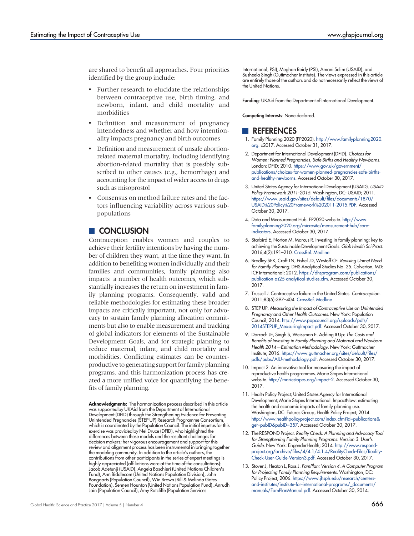are shared to benefit all approaches. Four priorities identified by the group include:

- Further research to elucidate the relationships between contraceptive use, birth timing, and newborn, infant, and child mortality and morbidities
- Definition and measurement of pregnancy intendedness and whether and how intentionality impacts pregnancy and birth outcomes
- Definition and measurement of unsafe abortionrelated maternal mortality, including identifying abortion-related mortality that is possibly subscribed to other causes (e.g., hemorrhage) and accounting for the impact of wider access to drugs such as misoprostol
- Consensus on method failure rates and the factors influencing variability across various subpopulations

## **CONCLUSION**

Contraception enables women and couples to achieve their fertility intentions by having the number of children they want, at the time they want. In addition to benefiting women individually and their families and communities, family planning also impacts a number of health outcomes, which substantially increases the return on investment in family planning programs. Consequently, valid and reliable methodologies for estimating these broader impacts are critically important, not only for advocacy to sustain family planning allocation commitments but also to enable measurement and tracking of global indicators for elements of the Sustainable Development Goals, and for strategic planning to reduce maternal, infant, and child mortality and morbidities. Conflicting estimates can be counterproductive to generating support for family planning programs, and this harmonization process has created a more unified voice for quantifying the benefits of family planning.

Acknowledgments: The harmonization process described in this article was supported by UKAid from the Department of International Development (DFID) through the Strengthening Evidence for Preventing Unintended Pregnancies (STEP UP) Research Programme Consortium, which is coordinated by the Population Council. The initial impetus for this exercise was provided by Nel Druce (DFID), who highlighted the differences between these models and the resultant challenges for decision makers; her vigorous encouragement and support for this review and alignment process has been instrumental in bringing together the modeling community. In addition to the article's authors, the contributions from other participants in the series of expert meetings is highly appreciated (affiliations were at the time of the consultations): Jacob Adetunji (USAID), Angela Baschieri (United Nations Children's Fund), Ann Biddlecom (United Nations Population Division), John Bongaarts (Population Council), Win Brown (Bill & Melinda Gates Foundation), Sennen Hounton (United Nations Population Fund), Anrudh Jain (Population Council), Amy Ratcliffe (Population Services

Funding: UKAid from the Department of International Development.

Competing Interests: None declared.

## **REFERENCES**

- <span id="page-8-0"></span>1. Family Planning 2020 (FP2020). [http://www.familyplanning2020.](http://www.familyplanning2020.org) [org](http://www.familyplanning2020.org). c2017. Accessed October 31, 2017.
- <span id="page-8-1"></span>2. Department for International Development (DFID). Choices for Women: Planned Pregnancies, Safe Births and Healthy Newborns. London: DFID; 2010. [https://www.gov.uk/government/](https://www.gov.uk/government/publications/choices-for-women-planned-pregnancies-safe-births-and-healthy-newborns) [publications/choices-for-women-planned-pregnancies-safe-births](https://www.gov.uk/government/publications/choices-for-women-planned-pregnancies-safe-births-and-healthy-newborns)[and-healthy-newborns](https://www.gov.uk/government/publications/choices-for-women-planned-pregnancies-safe-births-and-healthy-newborns). Accessed October 30, 2017.
- <span id="page-8-2"></span>3. United States Agency for International Development (USAID). USAID Policy Framework 2011-2015. Washington, DC: USAID; 2011. [https://www.usaid.gov/sites/default/files/documents/1870/](https://www.usaid.gov/sites/default/files/documents/1870/USAID%20Policy%20Framework%202011-2015.PDF) [USAID%20Policy%20Framework%202011-2015.PDF.](https://www.usaid.gov/sites/default/files/documents/1870/USAID%20Policy%20Framework%202011-2015.PDF) Accessed October 30, 2017.
- <span id="page-8-3"></span>4. Data and Measurement Hub. FP2020 website. [http://www.](http://www.familyplanning2020.org/microsite/measurement-hub/core-indicators) [familyplanning2020.org/microsite/measurement-hub/core](http://www.familyplanning2020.org/microsite/measurement-hub/core-indicators)[indicators](http://www.familyplanning2020.org/microsite/measurement-hub/core-indicators). Accessed October 30, 2017.
- <span id="page-8-4"></span>5. Starbird E, Norton M, Marcus R. Investing in family planning: key to achieving the Sustainable Development Goals. Glob Health Sci Pract. 2016;4(2):191–210. [CrossRef](https://doi.org/10.9745/GHSP-D-15-00374). [Medline](http://www.ncbi.nlm.nih.gov/pubmed/27353614)
- <span id="page-8-5"></span>6. Bradley SEK, Croft TN, Fishel JD, Westoff CF. Revising Unmet Need for Family Planning. DHS Analytical Studies No. 25. Calverton, MD: ICF International; 2012. [https://dhsprogram.com/publications/](https://dhsprogram.com/publications/publication-as25-analytical-studies.cfm) [publication-as25-analytical-studies.cfm.](https://dhsprogram.com/publications/publication-as25-analytical-studies.cfm) Accessed October 30, 2017.
- <span id="page-8-6"></span>7. Trussell J. Contraceptive failure in the United States. Contraception. 2011;83(5):397–404. [CrossRef](https://doi.org/10.1016/j.contraception.2011.01.021). [Medline](http://www.ncbi.nlm.nih.gov/pubmed/21477680)
- <span id="page-8-7"></span>8. STEP UP. Measuring the Impact of Contraceptive Use on Unintended Pregnancy and Other Health Outcomes. New York: Population Council; 2014. [http://www.popcouncil.org/uploads/pdfs/](http://www.popcouncil.org/uploads/pdfs/2014STEPUP_MeasuringImpact.pdf) [2014STEPUP\\_MeasuringImpact.pdf](http://www.popcouncil.org/uploads/pdfs/2014STEPUP_MeasuringImpact.pdf). Accessed October 30, 2017.
- <span id="page-8-8"></span>9. Darroch JE, Singh S, Weissman E. Adding It Up: The Costs and Benefits of Investing in Family Planning and Maternal and Newborn Health 2014 - Estimation Methodology. New York: Guttmacher Institute; 2016. [https://www.guttmacher.org/sites/default/files/](https://www.guttmacher.org/sites/default/files/pdfs/pubs/AIU-methodology.pdf) [pdfs/pubs/AIU-methodology.pdf](https://www.guttmacher.org/sites/default/files/pdfs/pubs/AIU-methodology.pdf). Accessed October 30, 2017.
- <span id="page-8-9"></span>10. Impact 2: An innovative tool for measuring the impact of reproductive health programmes. Marie Stopes International website. [http://mariestopes.org/impact-2.](http://mariestopes.org/impact-2) Accessed October 30, 2017.
- <span id="page-8-10"></span>11. Health Policy Project; United States Agency for International Development; Marie Stopes International. ImpactNow: estimating the health and economic impacts of family planning use. Washington, DC: Futures Group, Health Policy Project; 2014. [http://www.healthpolicyproject.com/index.cfm?id=publications&](http://www.healthpolicyproject.com/index.cfm?id=publications&hx0026;get=pubID&hx0026;pubID=357) [get=pubID&pubID=357.](http://www.healthpolicyproject.com/index.cfm?id=publications&hx0026;get=pubID&hx0026;pubID=357) Accessed October 30, 2017.
- <span id="page-8-11"></span>12. The RESPOND Project. Reality Check: A Planning and Advocacy Tool for Strengthening Family Planning Programs: Version 3. User's Guide. New York: EngenderHealth; 2014. [http://www.respond](http://www.respond-project.org/archive/files/4/4.1/4.1.4/RealityCheck-Files/Reality-Check-User-Guide-Version3.pdf)[project.org/archive/files/4/4.1/4.1.4/RealityCheck-Files/Reality-](http://www.respond-project.org/archive/files/4/4.1/4.1.4/RealityCheck-Files/Reality-Check-User-Guide-Version3.pdf)[Check-User-Guide-Version3.pdf](http://www.respond-project.org/archive/files/4/4.1/4.1.4/RealityCheck-Files/Reality-Check-User-Guide-Version3.pdf). Accessed October 30, 2017.
- <span id="page-8-12"></span>13. Stover J, Heaton L, Ross J. FamPlan: Version 4. A Computer Program for Projecting Family Planning Requirements. Washington, DC: Policy Project; 2006. [https://www.jhsph.edu/research/centers](https://www.jhsph.edu/research/centers-and-institutes/institute-for-international-programs/_documents/manuals/FamPlanManual.pdf)[and-institutes/institute-for-international-programs/\\_documents/](https://www.jhsph.edu/research/centers-and-institutes/institute-for-international-programs/_documents/manuals/FamPlanManual.pdf) [manuals/FamPlanManual.pdf.](https://www.jhsph.edu/research/centers-and-institutes/institute-for-international-programs/_documents/manuals/FamPlanManual.pdf) Accessed October 30, 2014.